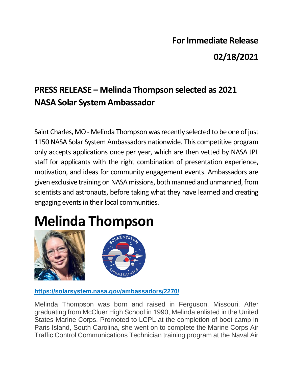## **For Immediate Release 02/18/2021**

## **PRESS RELEASE – Melinda Thompson selected as 2021 NASA Solar System Ambassador**

Saint Charles, MO - Melinda Thompson was recently selected to be one of just 1150 NASA Solar System Ambassadors nationwide. This competitive program only accepts applications once per year, which are then vetted by NASA JPL staff for applicants with the right combination of presentation experience, motivation, and ideas for community engagement events. Ambassadors are given exclusive training on NASA missions, both manned and unmanned, from scientists and astronauts, before taking what they have learned and creating engaging events in their local communities.

## **Melinda Thompson**





**https://solarsystem.nasa.gov/ambassadors/2270/** 

Melinda Thompson was born and raised in Ferguson, Missouri. After graduating from McCluer High School in 1990, Melinda enlisted in the United States Marine Corps. Promoted to LCPL at the completion of boot camp in Paris Island, South Carolina, she went on to complete the Marine Corps Air Traffic Control Communications Technician training program at the Naval Air